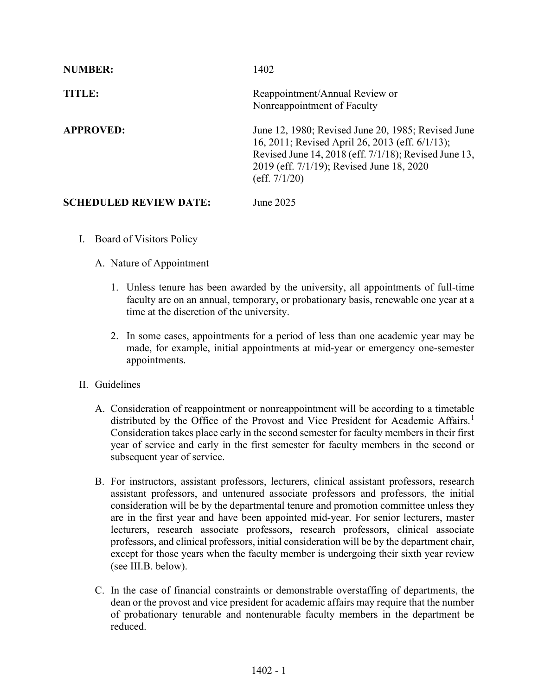| <b>NUMBER:</b>                | 1402                                                                                                                                                                                                                            |
|-------------------------------|---------------------------------------------------------------------------------------------------------------------------------------------------------------------------------------------------------------------------------|
| TITLE:                        | Reappointment/Annual Review or<br>Nonreappointment of Faculty                                                                                                                                                                   |
| <b>APPROVED:</b>              | June 12, 1980; Revised June 20, 1985; Revised June<br>16, 2011; Revised April 26, 2013 (eff. 6/1/13);<br>Revised June 14, 2018 (eff. 7/1/18); Revised June 13,<br>2019 (eff. 7/1/19); Revised June 18, 2020<br>(eff. $7/1/20$ ) |
| <b>SCHEDULED REVIEW DATE:</b> | June 2025                                                                                                                                                                                                                       |

I. Board of Visitors Policy

## A. Nature of Appointment

- 1. Unless tenure has been awarded by the university, all appointments of full-time faculty are on an annual, temporary, or probationary basis, renewable one year at a time at the discretion of the university.
- 2. In some cases, appointments for a period of less than one academic year may be made, for example, initial appointments at mid-year or emergency one-semester appointments.
- II. Guidelines
	- A. Consideration of reappointment or nonreappointment will be according to a timetable distributed by the Office of the Provost and Vice President for Academic Affairs.<sup>[1](#page-4-0)</sup> Consideration takes place early in the second semester for faculty members in their first year of service and early in the first semester for faculty members in the second or subsequent year of service.
	- B. For instructors, assistant professors, lecturers, clinical assistant professors, research assistant professors, and untenured associate professors and professors, the initial consideration will be by the departmental tenure and promotion committee unless they are in the first year and have been appointed mid-year. For senior lecturers, master lecturers, research associate professors, research professors, clinical associate professors, and clinical professors, initial consideration will be by the department chair, except for those years when the faculty member is undergoing their sixth year review (see III.B. below).
	- C. In the case of financial constraints or demonstrable overstaffing of departments, the dean or the provost and vice president for academic affairs may require that the number of probationary tenurable and nontenurable faculty members in the department be reduced.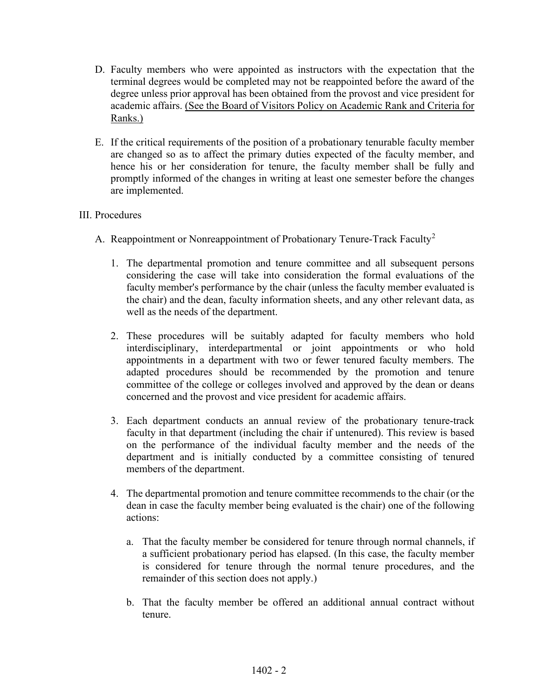- D. Faculty members who were appointed as instructors with the expectation that the terminal degrees would be completed may not be reappointed before the award of the degree unless prior approval has been obtained from the provost and vice president for academic affairs. (See the Board of Visitors Policy on Academic Rank and Criteria for Ranks.)
- E. If the critical requirements of the position of a probationary tenurable faculty member are changed so as to affect the primary duties expected of the faculty member, and hence his or her consideration for tenure, the faculty member shall be fully and promptly informed of the changes in writing at least one semester before the changes are implemented.

## III. Procedures

- A. Reappointment or Nonreappointment of Probationary Tenure-Track Faculty<sup>[2](#page-4-1)</sup>
	- 1. The departmental promotion and tenure committee and all subsequent persons considering the case will take into consideration the formal evaluations of the faculty member's performance by the chair (unless the faculty member evaluated is the chair) and the dean, faculty information sheets, and any other relevant data, as well as the needs of the department.
	- 2. These procedures will be suitably adapted for faculty members who hold interdisciplinary, interdepartmental or joint appointments or who hold appointments in a department with two or fewer tenured faculty members. The adapted procedures should be recommended by the promotion and tenure committee of the college or colleges involved and approved by the dean or deans concerned and the provost and vice president for academic affairs.
	- 3. Each department conducts an annual review of the probationary tenure-track faculty in that department (including the chair if untenured). This review is based on the performance of the individual faculty member and the needs of the department and is initially conducted by a committee consisting of tenured members of the department.
	- 4. The departmental promotion and tenure committee recommends to the chair (or the dean in case the faculty member being evaluated is the chair) one of the following actions:
		- a. That the faculty member be considered for tenure through normal channels, if a sufficient probationary period has elapsed. (In this case, the faculty member is considered for tenure through the normal tenure procedures, and the remainder of this section does not apply.)
		- b. That the faculty member be offered an additional annual contract without tenure.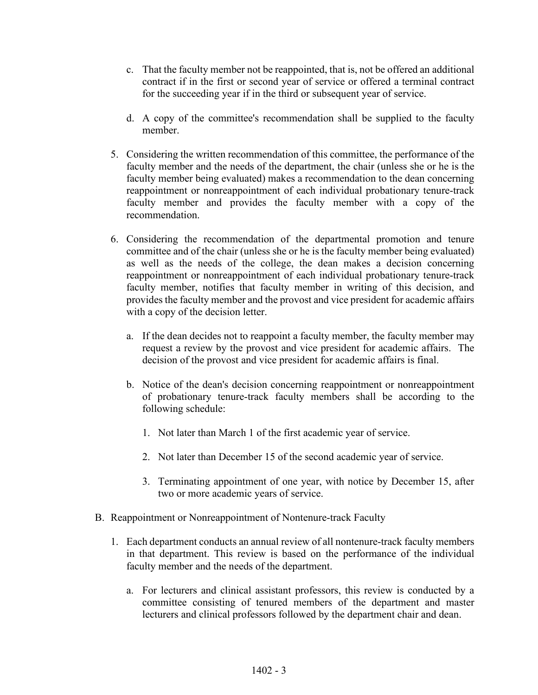- c. That the faculty member not be reappointed, that is, not be offered an additional contract if in the first or second year of service or offered a terminal contract for the succeeding year if in the third or subsequent year of service.
- d. A copy of the committee's recommendation shall be supplied to the faculty member.
- 5. Considering the written recommendation of this committee, the performance of the faculty member and the needs of the department, the chair (unless she or he is the faculty member being evaluated) makes a recommendation to the dean concerning reappointment or nonreappointment of each individual probationary tenure-track faculty member and provides the faculty member with a copy of the recommendation.
- 6. Considering the recommendation of the departmental promotion and tenure committee and of the chair (unless she or he is the faculty member being evaluated) as well as the needs of the college, the dean makes a decision concerning reappointment or nonreappointment of each individual probationary tenure-track faculty member, notifies that faculty member in writing of this decision, and provides the faculty member and the provost and vice president for academic affairs with a copy of the decision letter.
	- a. If the dean decides not to reappoint a faculty member, the faculty member may request a review by the provost and vice president for academic affairs. The decision of the provost and vice president for academic affairs is final.
	- b. Notice of the dean's decision concerning reappointment or nonreappointment of probationary tenure-track faculty members shall be according to the following schedule:
		- 1. Not later than March 1 of the first academic year of service.
		- 2. Not later than December 15 of the second academic year of service.
		- 3. Terminating appointment of one year, with notice by December 15, after two or more academic years of service.
- B. Reappointment or Nonreappointment of Nontenure-track Faculty
	- 1. Each department conducts an annual review of all nontenure-track faculty members in that department. This review is based on the performance of the individual faculty member and the needs of the department.
		- a. For lecturers and clinical assistant professors, this review is conducted by a committee consisting of tenured members of the department and master lecturers and clinical professors followed by the department chair and dean.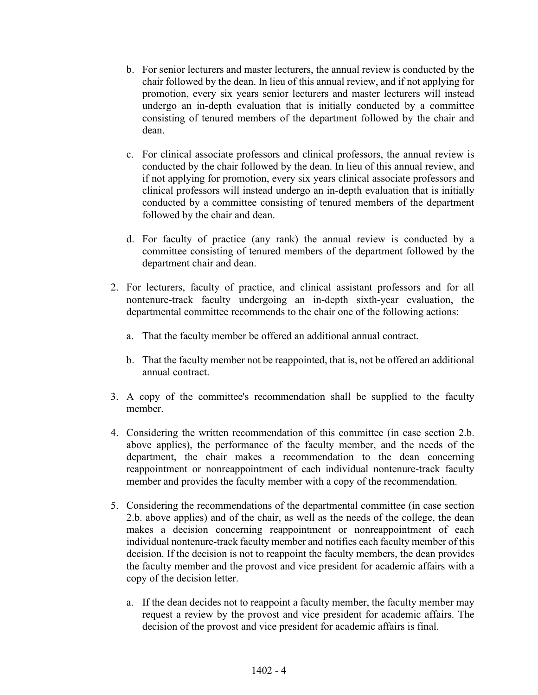- b. For senior lecturers and master lecturers, the annual review is conducted by the chair followed by the dean. In lieu of this annual review, and if not applying for promotion, every six years senior lecturers and master lecturers will instead undergo an in-depth evaluation that is initially conducted by a committee consisting of tenured members of the department followed by the chair and dean.
- c. For clinical associate professors and clinical professors, the annual review is conducted by the chair followed by the dean. In lieu of this annual review, and if not applying for promotion, every six years clinical associate professors and clinical professors will instead undergo an in-depth evaluation that is initially conducted by a committee consisting of tenured members of the department followed by the chair and dean.
- d. For faculty of practice (any rank) the annual review is conducted by a committee consisting of tenured members of the department followed by the department chair and dean.
- 2. For lecturers, faculty of practice, and clinical assistant professors and for all nontenure-track faculty undergoing an in-depth sixth-year evaluation, the departmental committee recommends to the chair one of the following actions:
	- a. That the faculty member be offered an additional annual contract.
	- b. That the faculty member not be reappointed, that is, not be offered an additional annual contract.
- 3. A copy of the committee's recommendation shall be supplied to the faculty member.
- 4. Considering the written recommendation of this committee (in case section 2.b. above applies), the performance of the faculty member, and the needs of the department, the chair makes a recommendation to the dean concerning reappointment or nonreappointment of each individual nontenure-track faculty member and provides the faculty member with a copy of the recommendation.
- 5. Considering the recommendations of the departmental committee (in case section 2.b. above applies) and of the chair, as well as the needs of the college, the dean makes a decision concerning reappointment or nonreappointment of each individual nontenure-track faculty member and notifies each faculty member of this decision. If the decision is not to reappoint the faculty members, the dean provides the faculty member and the provost and vice president for academic affairs with a copy of the decision letter.
	- a. If the dean decides not to reappoint a faculty member, the faculty member may request a review by the provost and vice president for academic affairs. The decision of the provost and vice president for academic affairs is final.